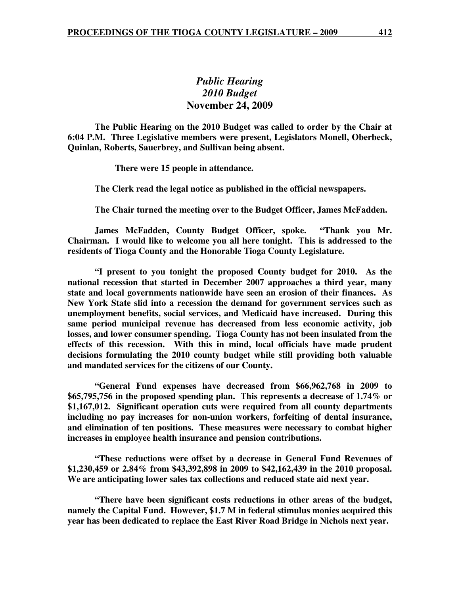## *Public Hearing 2010 Budget*  **November 24, 2009**

 **The Public Hearing on the 2010 Budget was called to order by the Chair at 6:04 P.M. Three Legislative members were present, Legislators Monell, Oberbeck, Quinlan, Roberts, Sauerbrey, and Sullivan being absent.** 

 **There were 15 people in attendance.** 

 **The Clerk read the legal notice as published in the official newspapers.** 

 **The Chair turned the meeting over to the Budget Officer, James McFadden.** 

 **James McFadden, County Budget Officer, spoke. "Thank you Mr. Chairman. I would like to welcome you all here tonight. This is addressed to the residents of Tioga County and the Honorable Tioga County Legislature.** 

 **"I present to you tonight the proposed County budget for 2010. As the national recession that started in December 2007 approaches a third year, many state and local governments nationwide have seen an erosion of their finances. As New York State slid into a recession the demand for government services such as unemployment benefits, social services, and Medicaid have increased. During this same period municipal revenue has decreased from less economic activity, job losses, and lower consumer spending. Tioga County has not been insulated from the effects of this recession. With this in mind, local officials have made prudent decisions formulating the 2010 county budget while still providing both valuable and mandated services for the citizens of our County.** 

 **"General Fund expenses have decreased from \$66,962,768 in 2009 to \$65,795,756 in the proposed spending plan. This represents a decrease of 1.74% or \$1,167,012. Significant operation cuts were required from all county departments including no pay increases for non-union workers, forfeiting of dental insurance, and elimination of ten positions. These measures were necessary to combat higher increases in employee health insurance and pension contributions.** 

 **"These reductions were offset by a decrease in General Fund Revenues of \$1,230,459 or 2.84% from \$43,392,898 in 2009 to \$42,162,439 in the 2010 proposal. We are anticipating lower sales tax collections and reduced state aid next year.** 

 **"There have been significant costs reductions in other areas of the budget, namely the Capital Fund. However, \$1.7 M in federal stimulus monies acquired this year has been dedicated to replace the East River Road Bridge in Nichols next year.**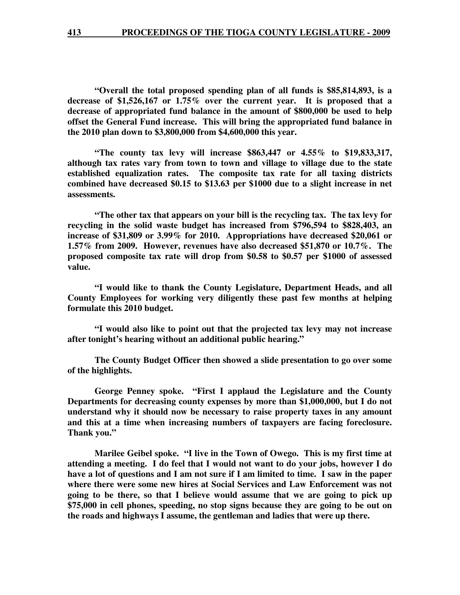**"Overall the total proposed spending plan of all funds is \$85,814,893, is a decrease of \$1,526,167 or 1.75% over the current year. It is proposed that a decrease of appropriated fund balance in the amount of \$800,000 be used to help offset the General Fund increase. This will bring the appropriated fund balance in the 2010 plan down to \$3,800,000 from \$4,600,000 this year.** 

 **"The county tax levy will increase \$863,447 or 4.55% to \$19,833,317, although tax rates vary from town to town and village to village due to the state established equalization rates. The composite tax rate for all taxing districts combined have decreased \$0.15 to \$13.63 per \$1000 due to a slight increase in net assessments.** 

 **"The other tax that appears on your bill is the recycling tax. The tax levy for recycling in the solid waste budget has increased from \$796,594 to \$828,403, an increase of \$31,809 or 3.99% for 2010. Appropriations have decreased \$20,061 or 1.57% from 2009. However, revenues have also decreased \$51,870 or 10.7%. The proposed composite tax rate will drop from \$0.58 to \$0.57 per \$1000 of assessed value.** 

 **"I would like to thank the County Legislature, Department Heads, and all County Employees for working very diligently these past few months at helping formulate this 2010 budget.** 

 **"I would also like to point out that the projected tax levy may not increase after tonight's hearing without an additional public hearing."** 

 **The County Budget Officer then showed a slide presentation to go over some of the highlights.** 

 **George Penney spoke. "First I applaud the Legislature and the County Departments for decreasing county expenses by more than \$1,000,000, but I do not understand why it should now be necessary to raise property taxes in any amount and this at a time when increasing numbers of taxpayers are facing foreclosure. Thank you."** 

 **Marilee Geibel spoke. "I live in the Town of Owego. This is my first time at attending a meeting. I do feel that I would not want to do your jobs, however I do have a lot of questions and I am not sure if I am limited to time. I saw in the paper where there were some new hires at Social Services and Law Enforcement was not going to be there, so that I believe would assume that we are going to pick up \$75,000 in cell phones, speeding, no stop signs because they are going to be out on the roads and highways I assume, the gentleman and ladies that were up there.**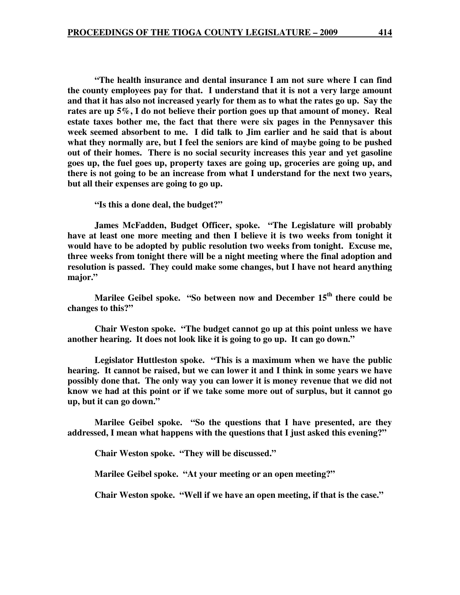**"The health insurance and dental insurance I am not sure where I can find the county employees pay for that. I understand that it is not a very large amount and that it has also not increased yearly for them as to what the rates go up. Say the rates are up 5%, I do not believe their portion goes up that amount of money. Real estate taxes bother me, the fact that there were six pages in the Pennysaver this week seemed absorbent to me. I did talk to Jim earlier and he said that is about what they normally are, but I feel the seniors are kind of maybe going to be pushed out of their homes. There is no social security increases this year and yet gasoline goes up, the fuel goes up, property taxes are going up, groceries are going up, and there is not going to be an increase from what I understand for the next two years, but all their expenses are going to go up.** 

 **"Is this a done deal, the budget?"** 

 **James McFadden, Budget Officer, spoke. "The Legislature will probably have at least one more meeting and then I believe it is two weeks from tonight it would have to be adopted by public resolution two weeks from tonight. Excuse me, three weeks from tonight there will be a night meeting where the final adoption and resolution is passed. They could make some changes, but I have not heard anything major."** 

 **Marilee Geibel spoke. "So between now and December 15th there could be changes to this?"** 

 **Chair Weston spoke. "The budget cannot go up at this point unless we have another hearing. It does not look like it is going to go up. It can go down."** 

 **Legislator Huttleston spoke. "This is a maximum when we have the public hearing. It cannot be raised, but we can lower it and I think in some years we have possibly done that. The only way you can lower it is money revenue that we did not know we had at this point or if we take some more out of surplus, but it cannot go up, but it can go down."** 

 **Marilee Geibel spoke. "So the questions that I have presented, are they addressed, I mean what happens with the questions that I just asked this evening?"** 

 **Chair Weston spoke. "They will be discussed."** 

 **Marilee Geibel spoke. "At your meeting or an open meeting?"** 

 **Chair Weston spoke. "Well if we have an open meeting, if that is the case."**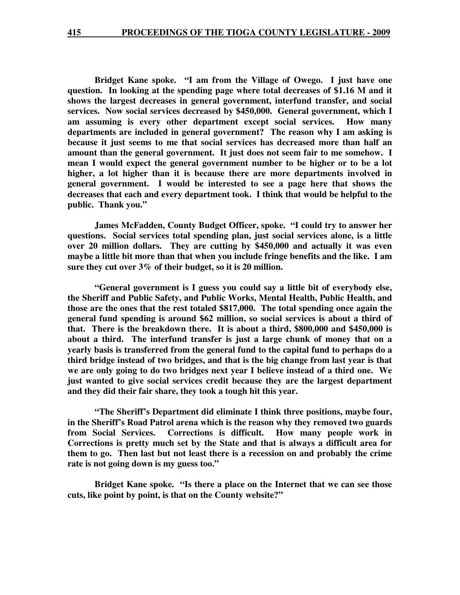**Bridget Kane spoke. "I am from the Village of Owego. I just have one question. In looking at the spending page where total decreases of \$1.16 M and it shows the largest decreases in general government, interfund transfer, and social services. Now social services decreased by \$450,000. General government, which I am assuming is every other department except social services. How many departments are included in general government? The reason why I am asking is because it just seems to me that social services has decreased more than half an amount than the general government. It just does not seem fair to me somehow. I mean I would expect the general government number to be higher or to be a lot higher, a lot higher than it is because there are more departments involved in general government. I would be interested to see a page here that shows the decreases that each and every department took. I think that would be helpful to the public. Thank you."** 

 **James McFadden, County Budget Officer, spoke. "I could try to answer her questions. Social services total spending plan, just social services alone, is a little over 20 million dollars. They are cutting by \$450,000 and actually it was even maybe a little bit more than that when you include fringe benefits and the like. I am sure they cut over 3% of their budget, so it is 20 million.** 

 **"General government is I guess you could say a little bit of everybody else, the Sheriff and Public Safety, and Public Works, Mental Health, Public Health, and those are the ones that the rest totaled \$817,000. The total spending once again the general fund spending is around \$62 million, so social services is about a third of that. There is the breakdown there. It is about a third, \$800,000 and \$450,000 is about a third. The interfund transfer is just a large chunk of money that on a yearly basis is transferred from the general fund to the capital fund to perhaps do a third bridge instead of two bridges, and that is the big change from last year is that we are only going to do two bridges next year I believe instead of a third one. We just wanted to give social services credit because they are the largest department and they did their fair share, they took a tough hit this year.** 

 **"The Sheriff's Department did eliminate I think three positions, maybe four, in the Sheriff's Road Patrol arena which is the reason why they removed two guards from Social Services. Corrections is difficult. How many people work in Corrections is pretty much set by the State and that is always a difficult area for them to go. Then last but not least there is a recession on and probably the crime rate is not going down is my guess too."** 

 **Bridget Kane spoke. "Is there a place on the Internet that we can see those cuts, like point by point, is that on the County website?"**